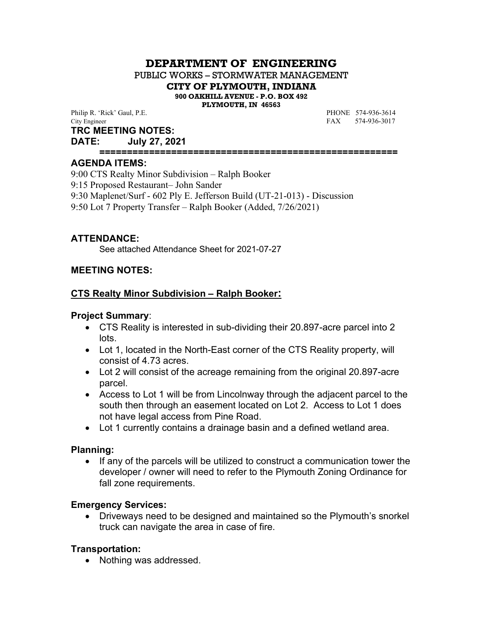# **DEPARTMENT OF ENGINEERING**

PUBLIC WORKS – STORMWATER MANAGEMENT

**CITY OF PLYMOUTH, INDIANA**

**900 OAKHILL AVENUE - P.O. BOX 492**

**PLYMOUTH, IN 46563**

Philip R. 'Rick' Gaul, P.E. **PHONE** 574-936-3614 City Engineer FAX 574-936-3017

#### **TRC MEETING NOTES:**

**DATE: July 27, 2021**

**======================================================**

#### **AGENDA ITEMS:**

9:00 CTS Realty Minor Subdivision – Ralph Booker 9:15 Proposed Restaurant– John Sander 9:30 Maplenet/Surf - 602 Ply E. Jefferson Build (UT-21-013) - Discussion 9:50 Lot 7 Property Transfer – Ralph Booker (Added, 7/26/2021)

## **ATTENDANCE:**

See attached Attendance Sheet for 2021-07-27

## **MEETING NOTES:**

#### **CTS Realty Minor Subdivision – Ralph Booker:**

#### **Project Summary**:

- CTS Reality is interested in sub-dividing their 20.897-acre parcel into 2 lots.
- Lot 1, located in the North-East corner of the CTS Reality property, will consist of 4.73 acres.
- Lot 2 will consist of the acreage remaining from the original 20.897-acre parcel.
- Access to Lot 1 will be from Lincolnway through the adjacent parcel to the south then through an easement located on Lot 2. Access to Lot 1 does not have legal access from Pine Road.
- Lot 1 currently contains a drainage basin and a defined wetland area.

## **Planning:**

• If any of the parcels will be utilized to construct a communication tower the developer / owner will need to refer to the Plymouth Zoning Ordinance for fall zone requirements.

## **Emergency Services:**

 Driveways need to be designed and maintained so the Plymouth's snorkel truck can navigate the area in case of fire.

## **Transportation:**

• Nothing was addressed.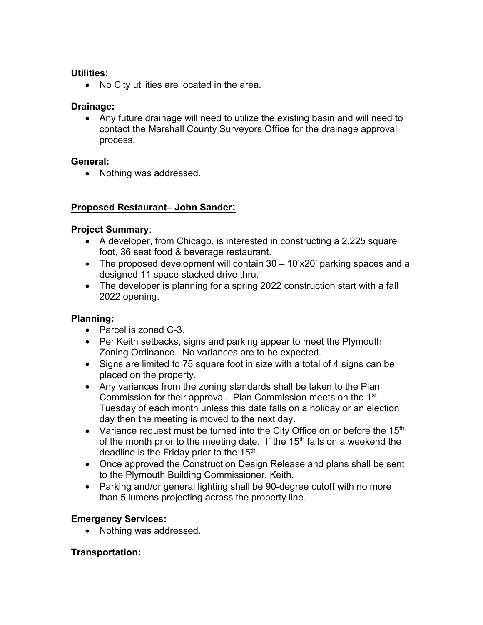## **Utilities:**

• No City utilities are located in the area.

## **Drainage:**

 Any future drainage will need to utilize the existing basin and will need to contact the Marshall County Surveyors Office for the drainage approval process.

## **General:**

• Nothing was addressed.

# **Proposed Restaurant– John Sander:**

## **Project Summary**:

- A developer, from Chicago, is interested in constructing a 2,225 square foot, 36 seat food & beverage restaurant.
- The proposed development will contain 30 10'x20' parking spaces and a designed 11 space stacked drive thru.
- The developer is planning for a spring 2022 construction start with a fall 2022 opening.

# **Planning:**

- Parcel is zoned C-3.
- Per Keith setbacks, signs and parking appear to meet the Plymouth Zoning Ordinance. No variances are to be expected.
- Signs are limited to 75 square foot in size with a total of 4 signs can be placed on the property.
- Any variances from the zoning standards shall be taken to the Plan Commission for their approval. Plan Commission meets on the 1st Tuesday of each month unless this date falls on a holiday or an election day then the meeting is moved to the next day.
- Variance request must be turned into the City Office on or before the 15<sup>th</sup> of the month prior to the meeting date. If the  $15<sup>th</sup>$  falls on a weekend the deadline is the Friday prior to the  $15<sup>th</sup>$ .
- Once approved the Construction Design Release and plans shall be sent to the Plymouth Building Commissioner, Keith.
- Parking and/or general lighting shall be 90-degree cutoff with no more than 5 lumens projecting across the property line.

# **Emergency Services:**

• Nothing was addressed.

## **Transportation:**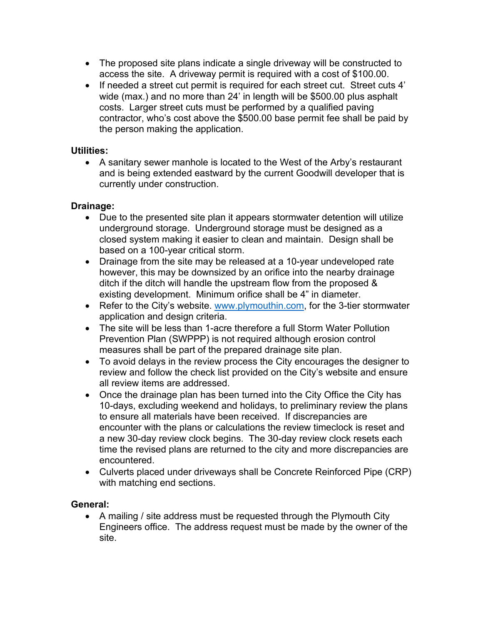- The proposed site plans indicate a single driveway will be constructed to access the site. A driveway permit is required with a cost of \$100.00.
- If needed a street cut permit is required for each street cut. Street cuts 4' wide (max.) and no more than 24' in length will be \$500.00 plus asphalt costs. Larger street cuts must be performed by a qualified paving contractor, who's cost above the \$500.00 base permit fee shall be paid by the person making the application.

## **Utilities:**

 A sanitary sewer manhole is located to the West of the Arby's restaurant and is being extended eastward by the current Goodwill developer that is currently under construction.

## **Drainage:**

- Due to the presented site plan it appears stormwater detention will utilize underground storage. Underground storage must be designed as a closed system making it easier to clean and maintain. Design shall be based on a 100-year critical storm.
- Drainage from the site may be released at a 10-year undeveloped rate however, this may be downsized by an orifice into the nearby drainage ditch if the ditch will handle the upstream flow from the proposed & existing development. Minimum orifice shall be 4" in diameter.
- Refer to the City's website. www.plymouthin.com, for the 3-tier stormwater application and design criteria.
- The site will be less than 1-acre therefore a full Storm Water Pollution Prevention Plan (SWPPP) is not required although erosion control measures shall be part of the prepared drainage site plan.
- To avoid delays in the review process the City encourages the designer to review and follow the check list provided on the City's website and ensure all review items are addressed.
- Once the drainage plan has been turned into the City Office the City has 10-days, excluding weekend and holidays, to preliminary review the plans to ensure all materials have been received. If discrepancies are encounter with the plans or calculations the review timeclock is reset and a new 30-day review clock begins. The 30-day review clock resets each time the revised plans are returned to the city and more discrepancies are encountered.
- Culverts placed under driveways shall be Concrete Reinforced Pipe (CRP) with matching end sections.

# **General:**

• A mailing / site address must be requested through the Plymouth City Engineers office. The address request must be made by the owner of the site.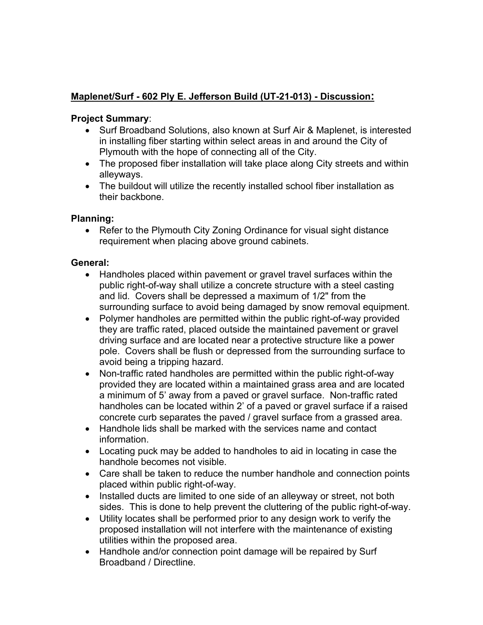# **Maplenet/Surf - 602 Ply E. Jefferson Build (UT-21-013) - Discussion:**

# **Project Summary**:

- Surf Broadband Solutions, also known at Surf Air & Maplenet, is interested in installing fiber starting within select areas in and around the City of Plymouth with the hope of connecting all of the City.
- The proposed fiber installation will take place along City streets and within alleyways.
- The buildout will utilize the recently installed school fiber installation as their backbone.

# **Planning:**

• Refer to the Plymouth City Zoning Ordinance for visual sight distance requirement when placing above ground cabinets.

## **General:**

- Handholes placed within pavement or gravel travel surfaces within the public right-of-way shall utilize a concrete structure with a steel casting and lid. Covers shall be depressed a maximum of 1/2" from the surrounding surface to avoid being damaged by snow removal equipment.
- Polymer handholes are permitted within the public right-of-way provided they are traffic rated, placed outside the maintained pavement or gravel driving surface and are located near a protective structure like a power pole. Covers shall be flush or depressed from the surrounding surface to avoid being a tripping hazard.
- Non-traffic rated handholes are permitted within the public right-of-way provided they are located within a maintained grass area and are located a minimum of 5' away from a paved or gravel surface. Non-traffic rated handholes can be located within 2' of a paved or gravel surface if a raised concrete curb separates the paved / gravel surface from a grassed area.
- Handhole lids shall be marked with the services name and contact information.
- Locating puck may be added to handholes to aid in locating in case the handhole becomes not visible.
- Care shall be taken to reduce the number handhole and connection points placed within public right-of-way.
- Installed ducts are limited to one side of an alleyway or street, not both sides. This is done to help prevent the cluttering of the public right-of-way.
- Utility locates shall be performed prior to any design work to verify the proposed installation will not interfere with the maintenance of existing utilities within the proposed area.
- Handhole and/or connection point damage will be repaired by Surf Broadband / Directline.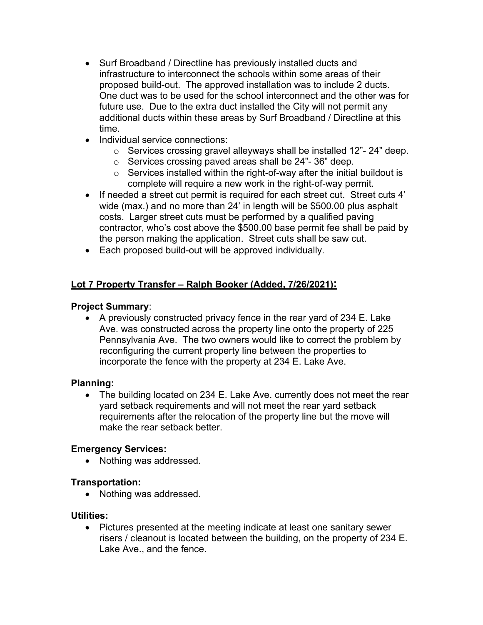- Surf Broadband / Directline has previously installed ducts and infrastructure to interconnect the schools within some areas of their proposed build-out. The approved installation was to include 2 ducts. One duct was to be used for the school interconnect and the other was for future use. Due to the extra duct installed the City will not permit any additional ducts within these areas by Surf Broadband / Directline at this time.
- Individual service connections:
	- o Services crossing gravel alleyways shall be installed 12"- 24" deep.
	- o Services crossing paved areas shall be 24"- 36" deep.
	- $\circ$  Services installed within the right-of-way after the initial buildout is complete will require a new work in the right-of-way permit.
- If needed a street cut permit is required for each street cut. Street cuts 4' wide (max.) and no more than 24' in length will be \$500.00 plus asphalt costs. Larger street cuts must be performed by a qualified paving contractor, who's cost above the \$500.00 base permit fee shall be paid by the person making the application. Street cuts shall be saw cut.
- Each proposed build-out will be approved individually.

# **Lot 7 Property Transfer – Ralph Booker (Added, 7/26/2021):**

## **Project Summary**:

• A previously constructed privacy fence in the rear yard of 234 E. Lake Ave. was constructed across the property line onto the property of 225 Pennsylvania Ave. The two owners would like to correct the problem by reconfiguring the current property line between the properties to incorporate the fence with the property at 234 E. Lake Ave.

# **Planning:**

• The building located on 234 E. Lake Ave. currently does not meet the rear yard setback requirements and will not meet the rear yard setback requirements after the relocation of the property line but the move will make the rear setback better.

# **Emergency Services:**

• Nothing was addressed.

## **Transportation:**

• Nothing was addressed.

## **Utilities:**

 Pictures presented at the meeting indicate at least one sanitary sewer risers / cleanout is located between the building, on the property of 234 E. Lake Ave., and the fence.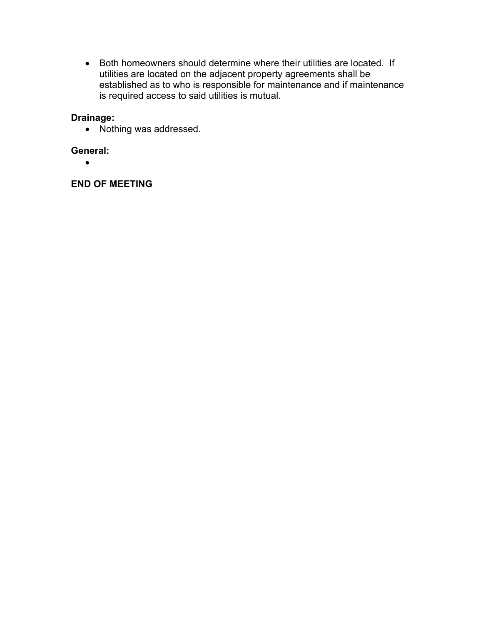Both homeowners should determine where their utilities are located. If utilities are located on the adjacent property agreements shall be established as to who is responsible for maintenance and if maintenance is required access to said utilities is mutual.

# **Drainage:**

• Nothing was addressed.

## **General:**

 $\bullet$ 

## **END OF MEETING**